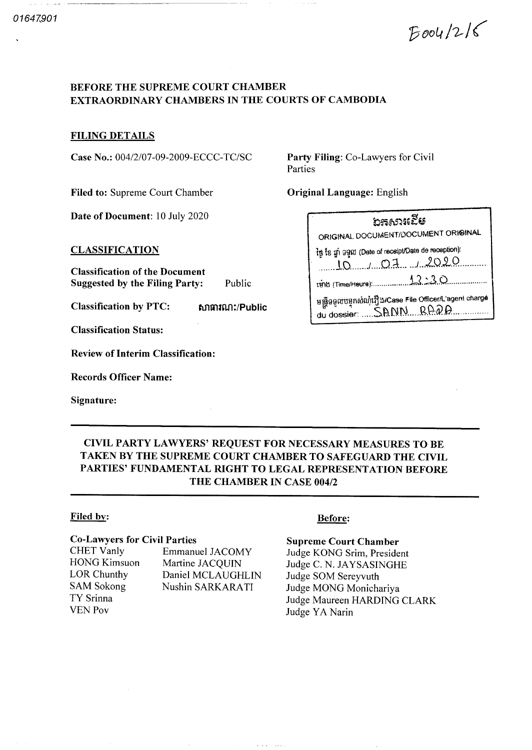$Boou1216$ 

## BEFORE THE SUPREME COURT CHAMBER EXTRAORDINARY CHAMBERS IN THE COURTS OF CAMBODIA

## FILING DETAILS

Case No.: 004/2/07-09-2009-ECCC-TC/SC Party Filing: Co-Lawyers for Civil

Filed to: Supreme Court Chamber **Original Language:** English

Date of Document: 10 July 2020

CLASSIFICATION

Classification of the Document Suggested by the Filing Party: Public

Classification by PTC: 600 mm

Classification Status

Review of Interim Classification

Records Officer Name

Signature

Parties

| ັນສຸດລາເຂີຮ                                                                       |
|-----------------------------------------------------------------------------------|
| ORIGINAL DOCUMENT/DOCUMENT ORIGINAL                                               |
| in the give gam (Date of receipt/Date de reception):                              |
| $10$ 10 $-10$ 2                                                                   |
|                                                                                   |
| ษสู้ออูเซบอุทณ์ญำญี่ ม/Case File OfficerA agent charge<br>du dossier:  SANNR. Q.Q |

# CIVIL PARTY LAWYERS' REQUEST FOR NECESSARY MEASURES TO BE TAKEN BY THE SUPREME COURT CHAMBER TO SAFEGUARD THE CIVIL PARTIES' FUNDAMENTAL RIGHT TO LEGAL REPRESENTATION BEFORE THE CHAMBER IN CASE <sup>004</sup>

## Filed by: Before:

#### Co Lawyers for Civil Parties

CHET Vanly HONG Kimsuon LOR Chunthy SAM Sokong TY Srinna VEN Pov

Emmanuel JACOMY Martine JACQUIN Daniel MCLAUGHLIN Nushin SARKARATI

Supreme Court Chamber

Judge KONG Srim, President Judge C. N. JAYSASINGHE Judge SOM Sereyvuth Judge MONG Monichariya Judge Maureen HARDING CLARK Judge YA Narin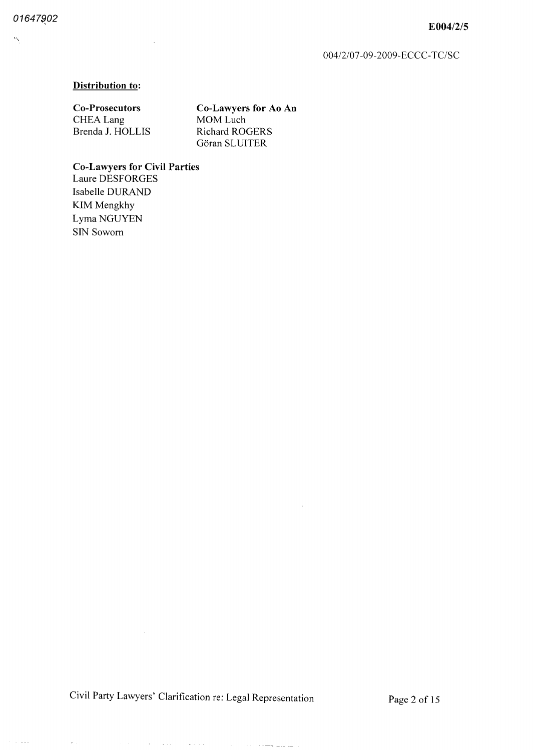$\ddot{\phantom{0}}$ 

 $\sim$  10  $\mu$   $\mu$   $\mu$ 

 $\bar{u}$ 

#### Distribution to:

Co-Prosecutors CHEA Lang Brenda J. HOLLIS

SIN Sowom

Co Lawyers for Ao An MOM Luch Richard ROGERS Göran SLUITER

 $\sim$ 

Co Lawyers for Civil Parties Laure DESFORGES Isabelle DURAND KIM Mengkhy Lyma NGUYEN

 $\bar{z}$ 

Civil Party Lawyers' Clarification re: Legal Representation Page 2 of 15

 $\mathcal{O}(N)$  , where  $\mathcal{O}(N)$  is the set of the set of the continuum of  $\mathcal{O}(N)$ 

 $\sim 10^{-11}$ 

 $\mathcal{L}^{\text{max}}$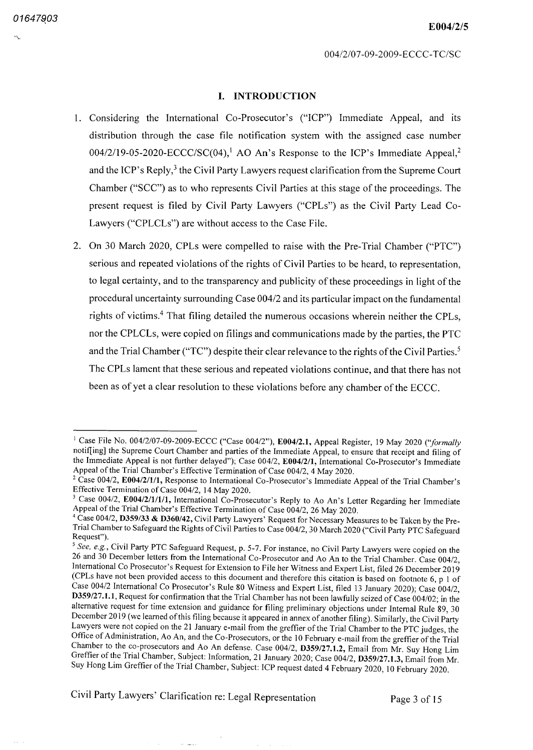#### I. INTRODUCTION

- 1. Considering the International Co-Prosecutor's ("ICP") Immediate Appeal, and its distribution through the case file notification system with the assigned case number  $004/2/19-05-2020-ECCC/SC(04),<sup>1</sup> AO An's Response to the ICP's Immediately$ and the ICP's Reply, $3$  the Civil Party Lawyers request clarification from the Supreme Court Chamber ("SCC") as to who represents Civil Parties at this stage of the proceedings. The present request is filed by Civil Party Lawyers ("CPLs") as the Civil Party Lead Co-Lawyers ("CPLCLs") are without access to the Case File.
- On 30 March 2020, CPLs were compelled to raise with the Pre-Trial Chamber ("PTC" serious and repeated violations of the rights of Civil Parties to be heard, to representation, to legal certainty, and to the transparency and publicity of these proceedings in light of the procedural uncertainty surrounding Case 004/2 and its particular impact on the fundamental rights of victims.<sup>4</sup> That filing detailed the numerous occasions wherein neither the CPLs, nor the CPLCLs, were copied on filings and communications made by the parties, the PTC and the Trial Chamber ("TC") despite their clear relevance to the rights of the Civil Parties.<sup>5</sup> The CPLs lament that these serious and repeated violations continue, and that there has not been as of yet a clear resolution to these violations before any chamber of the ECCC.

Civil Party Lawyers' Clarification re: Legal Representation Page 3 of 15

<sup>&</sup>lt;sup>1</sup> Case File No. 004/2/07-09-2009-ECCC ("Case 004/2"), E004/2.1, Appeal Register, 19 May 2020 ("formally notif[ing] the Supreme Court Chamber and parties of the Immediate Appeal, to ensure that receipt and filing of the Immediate Appeal is not further delayed"); Case 004/2, E004/2/1, International Co-Prosecutor's Immediate Appeal of the Trial Chamber's Effective Termination of Case 004/2, 4 May 2020.

<sup>&</sup>lt;sup>2</sup> Case 004/2, E004/2/1/1, Response to International Co-Prosecutor's Immediate Appeal of the Trial Chamber's Effective Termination of Case 004/2, 14 May 2020.

 $3$  Case 004/2, E004/2/1/1/1, International Co-Prosecutor's Reply to Ao An's Letter Regarding her Immediate Appeal of the Trial Chamber's Effective Termination of Case 004/2, 26 May 2020.

<sup>&</sup>lt;sup>4</sup> Case 004/2, D359/33 & D360/42, Civil Party Lawyers' Request for Necessary Measures to be Taken by the Pre-Trial Chamber to Safeguard the Rights of Civil Parties to Case 004/2, 30 March 2020 ("Civil Party PTC Safeguard Request"

See, e.g., Civil Party PTC Safeguard Request, p. 5-7. For instance, no Civil Party Lawyers were copied on the 26 and 30 December letters from the International Co-Prosecutor and Ao An to the Trial Chamber. Case 004/2, International Co Prosecutor's Request for Extension to File her Witness and Expert List, filed 26 December 2019 (CPLs have not been provided access to this document and therefore this citation is based on footnote  $6, p 1$  of Case 004/2 International Co Prosecutor's Rule 80 Witness and Expert List, filed 13 January 2020); Case 004/2, D359/27.1.1, Request for confirmation that the Trial Chamber has not been lawfully seized of Case 004/02; in the alternative request for time extension and guidance for filing preliminary objections under Internal Rule 89, 30 December 2019 (we learned of this filing because it appeared in annex of another filing). Similarly, the Civil Party Lawyers were not copied on the 21 January e-mail from the greffier of the Trial Chamber to the PTC judges, the Office of Administration, Ao An, and the Co-Prosecutors, or the 10 February e-mail from the greffier of the Trial Chamber to the co-prosecutors and Ao An defense. Case 004/2, D359/27.1.2, Email from Mr. Suy Hong Lim Greffier of the Trial Chamber, Subject: Information, 21 January 2020; Case 004/2, D359/27.1.3, Email from Mr. Suy Hong Lim Greffier of the Trial Chamber, Subject: ICP request dated 4 February 2020, 10 February 2020.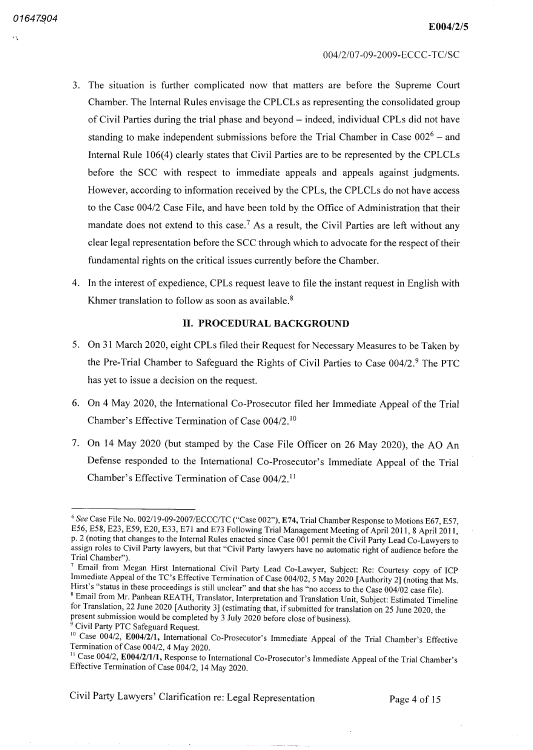- The situation is further complicated now that matters are before the Supreme Court Chamber The Internal Rules envisage the CPLCLs as representing the consolidated group of Civil Parties during the trial phase and beyond – indeed, individual CPLs did not have standing to make independent submissions before the Trial Chamber in Case  $002^6$  – and Internal Rule 106(4) clearly states that Civil Parties are to be represented by the CPLCLs before the SCC with respect to immediate appeals and appeals against judgments However, according to information received by the CPLs, the CPLCLs do not have access to the Case 004/2 Case File, and have been told by the Office of Administration that their mandate does not extend to this case.<sup>7</sup> As a result, the Civil Parties are left without any clear legal representation before the SCC through which to advocate for the respect of their fundamental rights on the critical issues currently before the Chamber
- 4. In the interest of expedience, CPLs request leave to file the instant request in English with Khmer translation to follow as soon as available.<sup>8</sup>

## II. PROCEDURAL BACKGROUND

- 5. On 31 March 2020, eight CPLs filed their Request for Necessary Measures to be Taken by the Pre-Trial Chamber to Safeguard the Rights of Civil Parties to Case  $004/2$ .<sup>9</sup> The PTC has yet to issue a decision on the request.
- 6. On 4 May 2020, the International Co-Prosecutor filed her Immediate Appeal of the Trial Chamber's Effective Termination of Case 004/2.<sup>10</sup>
- 7. On 14 May 2020 (but stamped by the Case File Officer on 26 May 2020), the AO An Defense responded to the International Co Prosecutor's Immediate Appeal of the Trial Chamber's Effective Termination of Case 004/2.<sup>11</sup>

Civil Party Lawyers' Clarification re: Legal Representation Page 4 of 15

<sup>&</sup>lt;sup>6</sup> See Case File No. 002/19-09-2007/ECCC/TC ("Case 002"), E74, Trial Chamber Response to Motions E67, E57, E56, E58, E23, E59, E20, E33, E71 and E73 Following Trial Management Meeting of April 2011, 8 April 2011, p. 2 (noting that changes to the Internal Rules enacted since Case 001 permit the Civil Party Lead Co-Lawyers to assign roles to Civil Party lawyers, but that "Civil Party lawyers have no automatic right of audience before the Trial Chamber"

The Chainest ).<br><sup>7</sup> Email from Megan Hirst International Civil Party Lead Co-Lawyer, Subject: Re: Courtesy copy of ICP Immediate Appeal of the TC's Effective Termination of Case 004/02, 5 May 2020 [Authority 2] (noting that Ms. Hirst's "status in these proceedings is still unclear" and that she has "no access to the Case 004/02 case file). <sup>8</sup> Email from Mr. Panhean REATH, Translator, Interpretation and Translation Unit, Subject: Estimated Timeline for Translation, 22 June 2020 [Authority 3] (estimating that, if submitted for translation on 25 June 2020, the present submission would be completed by 3 July 2020 before close of business).

<sup>&</sup>lt;sup>9</sup> Civil Party PTC Safeguard Request.

<sup>&</sup>lt;sup>10</sup> Case 004/2, **E004/2/1**, International Co-Prosecutor's Immediate Appeal of the Trial Chamber's Effective Termination of Case 004/2, 4 May 2020.

<sup>&</sup>lt;sup>11</sup> Case 004/2, E004/2/1/1, Response to International Co-Prosecutor's Immediate Appeal of the Trial Chamber's Effective Termination of Case 004/2, 14 May 2020.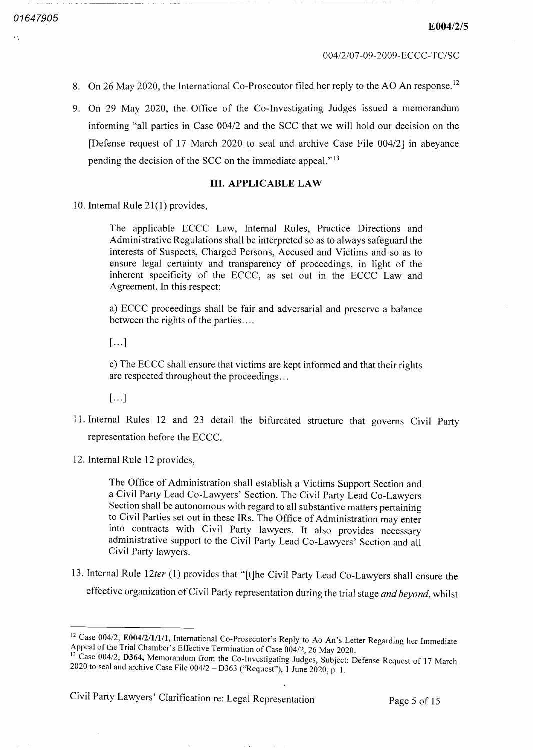- On 26 May 2020, the International Co-Prosecutor filed her reply to the AO An response.<sup>12</sup>
- 9. On 29 May 2020, the Office of the Co-Investigating Judges issued a memorandum informing "all parties in Case 004/2 and the SCC that we will hold our decision on the [Defense request of 17 March 2020 to seal and archive Case File 004/2] in abeyance pending the decision of the SCC on the immediate appeal."<sup>13</sup>

#### III. APPLICABLE LAW

10. Internal Rule 21(1) provides,

The applicable ECCC Law, Internal Rules, Practice Directions and Administrative Regulations shall be interpreted so as to always safeguard the interests of Suspects, Charged Persons, Accused and Victims and so as to ensure legal certainty and transparency of proceedings, in light of the inherent specificity of the ECCC as set out in the ECCC Law and Agreement. In this respect:

a) ECCC proceedings shall be fair and adversarial and preserve a balance between the rights of the parties

 $\lceil ... \rceil$ 

The ECCC shall ensure that victims are kept informed and that their rights are respected throughout the proceedings

 $[...]$ 

- <sup>11</sup> Internal Rules <sup>12</sup> and <sup>23</sup> detail the bifurcated structure that governs Civil Party representation before the ECCC
- 12. Internal Rule 12 provides,

The Office of Administration shall establish a Victims Support Section and a Civil Party Lead Co-Lawyers' Section. The Civil Party Lead Co-Lawyers Section shall be autonomous with regard to all substantive matters pertaining to Civil Parties set out in these IRs. The Office of Administration may enter into contracts with Civil Party lawyers It also provides necessary administrative support to the Civil Party Lead Co-Lawyers' Section and all Civil Party lawyers

13. Internal Rule 12ter (1) provides that "[t]he Civil Party Lead Co-Lawyers shall ensure the effective organization of Civil Party representation during the trial stage and beyond, whilst

Civil Party Lawyers' Clarification re: Legal Representation Page 5 of 15

<sup>&</sup>lt;sup>12</sup> Case 004/2, E004/2/1/1/1, International Co-Prosecutor's Reply to Ao An's Letter Regarding her Immediate Appeal of the Trial Chamber's Effective Termination of Case 004/2, 26 May 2020.

<sup>&</sup>lt;sup>13</sup> Case 004/2, D364, Memorandum from the Co-Investigating Judges, Subject: Defense Request of 17 March 2020 to seal and archive Case File  $004/2 - D363$  ("Request"), 1 June 2020, p. 1.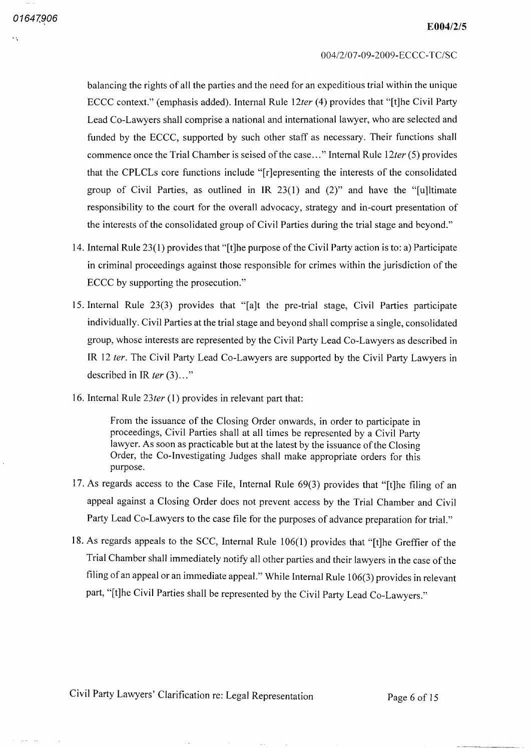balancing the rights of all the parties and the need for an expeditious trial within the unique ECCC context." (emphasis added). Internal Rule 12ter (4) provides that "[t]he Civil Party Lead Co-Lawyers shall comprise a national and international lawyer, who are selected and funded by the ECCC, supported by such other staff as necessary. Their functions shall commence once the Trial Chamber is seised of the case..." Internal Rule 12ter (5) provides that the CPLCLs core functions include "[r]epresenting the interests of the consolidated group of Civil Parties, as outlined in IR  $23(1)$  and  $(2)$ " and have the "[u]ltimate responsibility to the court for the overall advocacy, strategy and in-court presentation of the interests of the consolidated group of Civil Parties during the trial stage and beyond

- 14. Internal Rule 23(1) provides that "[t]he purpose of the Civil Party action is to: a) Participate in criminal proceedings against those responsible for crimes within the jurisdiction of the ECCC by supporting the prosecution."
- 15. Internal Rule  $23(3)$  provides that "[a]t the pre-trial stage, Civil Parties participate individually. Civil Parties at the trial stage and beyond shall comprise a single, consolidated group, whose interests are represented by the Civil Party Lead Co-Lawyers as described in IR 12 ter. The Civil Party Lead Co-Lawyers are supported by the Civil Party Lawyers in described in IR ter  $(3)$ ..."
- 16. Internal Rule  $23$ ter (1) provides in relevant part that:

From the issuance of the Closing Order onwards, in order to participate in proceedings, Civil Parties shall at all times be represented by a Civil Party lawyer. As soon as practicable but at the latest by the issuance of the Closing Order, the Co-Investigating Judges shall make appropriate orders for this purpose

- 17. As regards access to the Case File, Internal Rule 69(3) provides that "[t]he filing of an appeal against a Closing Order does not prevent access by the Trial Chamber and Civil Party Lead Co-Lawyers to the case file for the purposes of advance preparation for trial."
- 18. As regards appeals to the SCC, Internal Rule  $106(1)$  provides that "[t]he Greffier of the Trial Chamber shall immediately notify all other parties and their lawyers in the case of the filing of an appeal or an immediate appeal." While Internal Rule 106(3) provides in relevant part, "[t]he Civil Parties shall be represented by the Civil Party Lead Co-Lawyers."

Civil Party Lawyers' Clarification re: Legal Representation Page 6 of 15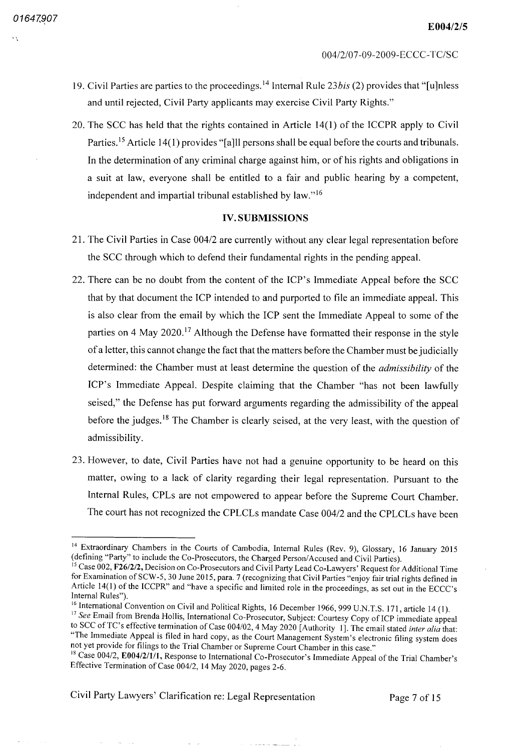- 19. Civil Parties are parties to the proceedings.<sup>14</sup> Internal Rule 23*bis* (2) provides that "[u]nless and until rejected, Civil Party applicants may exercise Civil Party Rights."
- 20. The SCC has held that the rights contained in Article  $14(1)$  of the ICCPR apply to Civil Parties.<sup>15</sup> Article 14(1) provides "[a]ll persons shall be equal before the courts and tribunals. In the determination of any criminal charge against him, or of his rights and obligations in suit at law, everyone shall be entitled to a fair and public hearing by a competent, independent and impartial tribunal established by law."<sup>16</sup>

### **IV. SUBMISSIONS**

- 21. The Civil Parties in Case 004/2 are currently without any clear legal representation before the SCC through which to defend their fundamental rights in the pending appeal
- <sup>22</sup> There can be no doubt from the content of the ICP's Immediate Appeal before the SCC that by that document the ICP intended to and purported to file an immediate appeal This is also clear from the email by which the ICP sent the Immediate Appeal to some of the parties on 4 May 2020.<sup>17</sup> Although the Defense have formatted their response in the style of a letter, this cannot change the fact that the matters before the Chamber must be judicially determined: the Chamber must at least determine the question of the *admissibility* of the ICP's Immediate Appeal. Despite claiming that the Chamber "has not been lawfully seised," the Defense has put forward arguments regarding the admissibility of the appeal before the judges.<sup>18</sup> The Chamber is clearly seised, at the very least, with the question of admissibility
- 23. However, to date, Civil Parties have not had a genuine opportunity to be heard on this matter, owing to a lack of clarity regarding their legal representation. Pursuant to the Internal Rules, CPLs are not empowered to appear before the Supreme Court Chamber. The court has not recognized the CPLCLs mandate Case 004/2 and the CPLCLs have been

and and state the state

Civil Party Lawyers' Clarification re: Legal Representation Page 7 of 15

<sup>&</sup>lt;sup>14</sup> Extraordinary Chambers in the Courts of Cambodia, Internal Rules (Rev. 9), Glossary, 16 January 2015 (defining "Party" to include the Co-Prosecutors, the Charged Person/Accused and Civil Parties).

<sup>&</sup>lt;sup>15</sup> Case 002, F26/2/2, Decision on Co-Prosecutors and Civil Party Lead Co-Lawyers' Request for Additional Time for Examination of SCW-5, 30 June 2015, para. 7 (recognizing that Civil Parties "enjoy fair trial rights defined in Article 14(1) of the ICCPR" and "have a specific and limited role in the proceedings, as set out in the ECCC's Internal Rules"

<sup>&</sup>lt;sup>16</sup> International Convention on Civil and Political Rights, 16 December 1966, 999 U.N.T.S. 171, article 14

<sup>&</sup>lt;sup>17</sup> See Email from Brenda Hollis, International Co-Prosecutor, Subject: Courtesy Copy of ICP immediate appeal to SCC of TC's effective termination of Case 004/02, 4 May 2020 [Authority 1]. The email stated inter alia that: "The Immediate Appeal is filed in hard copy, as the Court Management System's electronic filing system does not yet provide for filings to the Trial Chamber or Supreme Court Chamber in this case.

<sup>&</sup>lt;sup>18</sup> Case 004/2, E004/2/1/1, Response to International Co-Prosecutor's Immediate Appeal of the Trial Chamber's Effective Termination of Case 004/2, 14 May 2020, pages 2-6.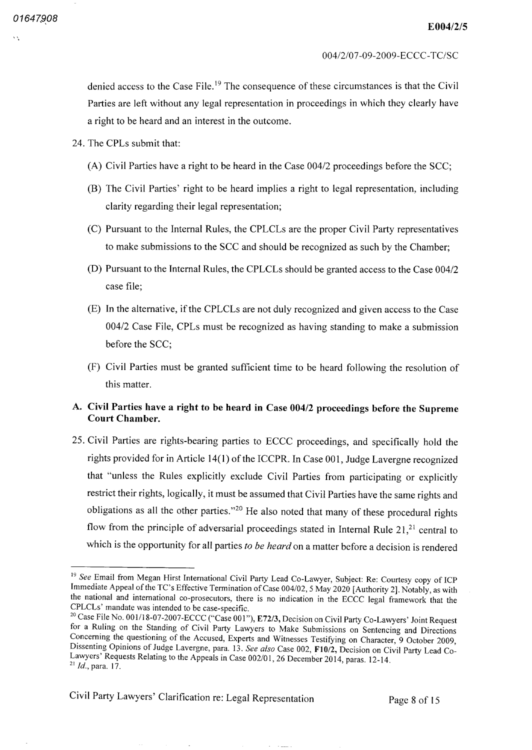denied access to the Case File.<sup>19</sup> The consequence of these circumstances is that the Civil Parties are left without any legal representation in proceedings in which they clearly have a right to be heard and an interest in the outcome.

- 24. The CPLs submit that:
	- (A) Civil Parties have a right to be heard in the Case  $004/2$  proceedings before the SCC;
	- (B) The Civil Parties' right to be heard implies a right to legal representation, including clarity regarding their legal representation
	- Pursuant to the Internal Rules, the CPLCLs are the proper Civil Party representatives to make submissions to the SCC and should be recognized as such by the Chamber
	- (D) Pursuant to the Internal Rules, the CPLCLs should be granted access to the Case 004/2 case file
	- (E) In the alternative, if the CPLCLs are not duly recognized and given access to the Case 004/2 Case File, CPLs must be recognized as having standing to make a submission before the SCC
	- Civil Parties must be granted sufficient time to be heard following the resolution of this matter.

## Civil Parties have a right to be heard in Case 004/2 proceedings before the Supreme Court Chamber

25 Civil Parties are rights bearing parties to ECCC proceedings and specifically hold the rights provided for in Article 14(1) of the ICCPR. In Case 001, Judge Lavergne recognized that "unless the Rules explicitly exclude Civil Parties from participating or explicitly restrict their rights, logically, it must be assumed that Civil Parties have the same rights and obligations as all the other parties."<sup>20</sup> He also noted that many of these procedural rights flow from the principle of adversarial proceedings stated in Internal Rule  $21<sup>21</sup>$ , central to which is the opportunity for all parties to be heard on a matter before a decision is rendered

Civil Party Lawyers' Clarification re: Legal Representation Page 8 of 15

<sup>&</sup>lt;sup>19</sup> See Email from Megan Hirst International Civil Party Lead Co-Lawyer, Subject: Re: Courtesy copy of ICP Immediate Appeal of the TC's Effective Termination of Case 004/02, 5 May 2020 [Authority 2]. Notably, as with the national and international co-prosecutors, there is no indication in the ECCC legal framework that the CPLCLs' mandate was intended to be case-specific.

<sup>&</sup>lt;sup>20</sup> Case File No. 001/18-07-2007-ECCC ("Case 001"), E72/3, Decision on Civil Party Co-Lawyers' Joint Request for a Ruling on the Standing of Civil Party Lawyers to Make Submissions on Sentencing and Directions Concerning the questioning of the Accused, Experts and Witnesses Testifying on Character, 9 October 2009, Dissenting Opinions of Judge Lavergne, para. 13. See also Case 002, F10/2, Decision on Civil Party Lead Co-Lawyers' Requests Relating to the Appeals in Case 002/01, 26 December 2014, paras. 12-14.  $^{21}$  *Id.*, para. 17.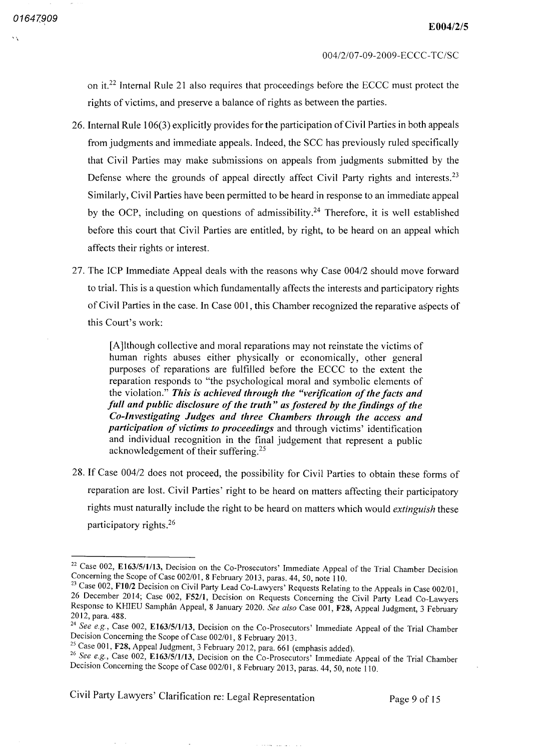on it.<sup>22</sup> Internal Rule 21 also requires that proceedings before the ECCC must protect the rights of victims, and preserve a balance of rights as between the parties.

- 26. Internal Rule 106(3) explicitly provides for the participation of Civil Parties in both appeals from judgments and immediate appeals. Indeed, the SCC has previously ruled specifically that Civil Parties may make submissions on appeals from judgments submitted by the Defense where the grounds of appeal directly affect Civil Party rights and interests.<sup>23</sup> Similarly, Civil Parties have been permitted to be heard in response to an immediate appeal by the OCP, including on questions of admissibility.<sup>24</sup> Therefore, it is well established before this court that Civil Parties are entitled, by right, to be heard on an appeal which affects their rights or interest
- 27. The ICP Immediate Appeal deals with the reasons why Case 004/2 should move forward to trial. This is a question which fundamentally affects the interests and participatory rights of Civil Parties in the case. In Case 001, this Chamber recognized the reparative aspects of this Court's work

[Ajlthough collective and moral reparations may not reinstate the victims of human rights abuses either physically or economically, other general purposes of reparations are fulfilled before the ECCC to the extent the reparation responds to "the psychological moral and symbolic elements of the violation." This is achieved through the "verification of the facts and full and public disclosure of the truth" as fostered by the findings of the Co-Investigating Judges and three Chambers through the access and participation of victims to proceedings and through victims' identification and individual recognition in the final judgement that represent a public acknowledgement of their suffering.<sup>25</sup>

28. If Case 004/2 does not proceed, the possibility for Civil Parties to obtain these forms of reparation are lost. Civil Parties' right to be heard on matters affecting their participatory rights must naturally include the right to be heard on matters which would extinguish these participatory rights 26

Civil Party Lawyers' Clarification re: Legal Representation Page 9 of 15

<sup>&</sup>lt;sup>22</sup> Case 002, E163/5/1/13, Decision on the Co-Prosecutors' Immediate Appeal of the Trial Chamber Decision Concerning the Scope of Case 002/01, 8 February 2013, paras. 44, 50, note 110.

<sup>&</sup>lt;sup>23</sup> Case 002, F10/2 Decision on Civil Party Lead Co-Lawyers' Requests Relating to the Appeals in Case 002/01, 26 December 2014; Case 002, F52/1, Decision on Requests Concerning the Civil Party Lead Co-Lawyers Response to KHIEU Samphân Appeal, 8 January 2020. See also Case 001, F28, Appeal Judgment, 3 February 2012, para. 488.

<sup>&</sup>lt;sup>24</sup> See e.g., Case 002, E163/5/1/13, Decision on the Co-Prosecutors' Immediate Appeal of the Trial Chamber Decision Concerning the Scope of Case 002/01, 8 February 2013.

<sup>&</sup>lt;sup>25</sup> Case 001, **F28**, Appeal Judgment, 3 February 2012, para. 661 (emphasis added)

<sup>&</sup>lt;sup>26</sup> See e.g., Case 002, E163/5/1/13, Decision on the Co-Prosecutors' Immediate Appeal of the Trial Chamber Decision Concerning the Scope of Case 002/01, 8 February 2013, paras. 44, 50, note 110.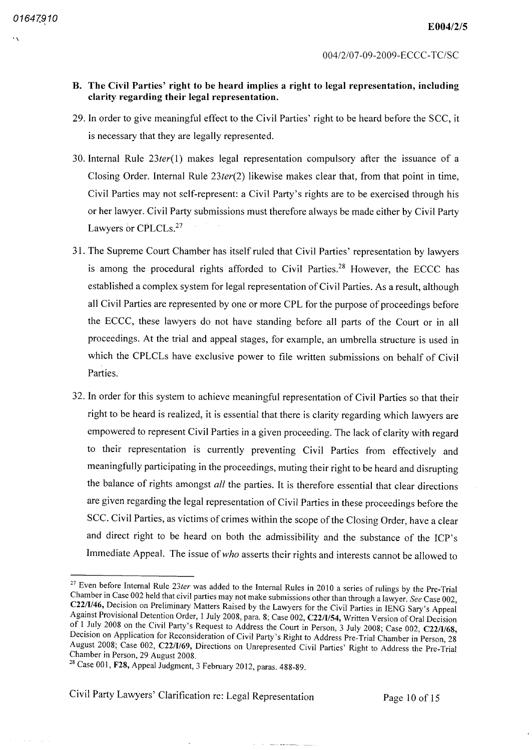## B. The Civil Parties' right to be heard implies a right to legal representation, including clarity regarding their legal representation

- 29 In order to give meaningful effect to the Civil Parties' right to be heard before the SCC it is necessary that they are legally represented
- 30. Internal Rule  $23ter(1)$  makes legal representation compulsory after the issuance of a Closing Order. Internal Rule  $23ter(2)$  likewise makes clear that, from that point in time, Civil Parties may not self-represent: a Civil Party's rights are to be exercised through his or her lawyer. Civil Party submissions must therefore always be made either by Civil Party Lawyers or CPLCLs.<sup>27</sup>
- <sup>31</sup> The Supreme Court Chamber has itself ruled that Civil Parties' representation by lawyers is among the procedural rights afforded to Civil Parties.<sup>28</sup> However, the ECCC has established a complex system for legal representation of Civil Parties. As a result, although all Civil Parties are represented by one or more CPL for the purpose of proceedings before the ECCC these lawyers do not have standing before all parts of the Court or in all proceedings. At the trial and appeal stages, for example, an umbrella structure is used in which the CPLCLs have exclusive power to file written submissions on behalf of Civil Parties
- 32 In order for this system to achieve meaningful representation of Civil Parties so that their right to be heard is realized, it is essential that there is clarity regarding which lawyers are empowered to represent Civil Parties in a given proceeding. The lack of clarity with regard to their representation is currently preventing Civil Parties from effectively and meaningfully participating in the proceedings muting their right to be heard and disrupting the balance of rights amongst all the parties. It is therefore essential that clear directions are given regarding the legal representation of Civil Parties in these proceedings before the SCC. Civil Parties, as victims of crimes within the scope of the Closing Order, have a clear and direct right to be heard on both the admissibility and the substance of the ICP's Immediate Appeal. The issue of who asserts their rights and interests cannot be allowed to

Civil Party Lawyers' Clarification re Legal Representation Page 10 of <sup>15</sup>

<sup>&</sup>lt;sup>27</sup> Even before Internal Rule 23ter was added to the Internal Rules in 2010 a series of rulings by the Pre-Trial Chamber in Case 002 held that civil parties may not make submissions other than through a lawyer. See Case 002, C22/1/46, Decision on Preliminary Matters Raised by the Lawyers for the Civil Parties in IENG Sary's Appeal Against Provisional Detention Order, 1 July 2008, para. 8; Case 002, C22/I/54, Written Version of Oral Decision of 1 July 2008 on the Civil Party's Request to Address the Court in Person, 3 July 2008; Case 002, C22/I/68, Decision on Application for Reconsideration of Civil Party's Right to Address Pre-Trial Chamber in Person, 28 August 2008; Case 002, C22/I/69, Directions on Unrepresented Civil Parties' Right to Address the Pre-Trial Chamber in Person, 29 August 2008.

<sup>&</sup>lt;sup>28</sup> Case 001, F28, Appeal Judgment, 3 February 2012, paras. 488-89.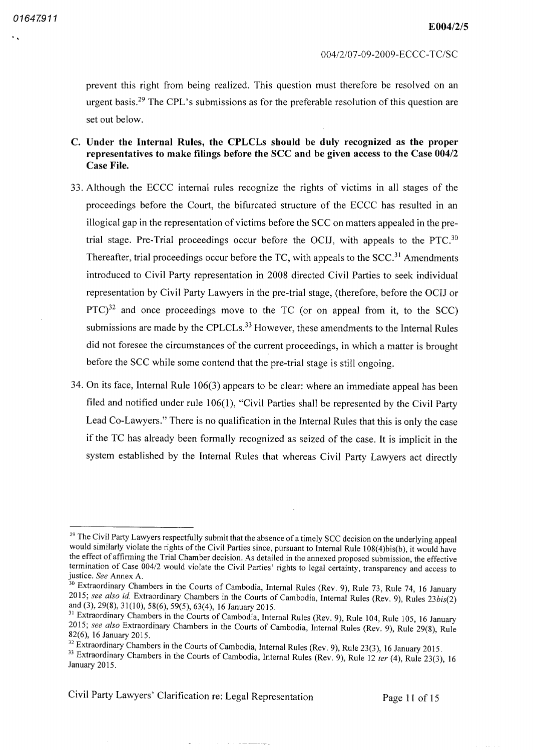prevent this right from being realized. This question must therefore be resolved on an urgent basis 29 The CPL's submissions as for the preferable resolution of this question are set out below

- C. Under the Internal Rules, the CPLCLs should be duly recognized as the proper representatives to make filings before the SCC and be given access to the Case 004/2 Case File
- <sup>33</sup> Although the ECCC internal rules recognize the rights of victims in all stages of the proceedings before the Court, the bifurcated structure of the ECCC has resulted in an illogical gap in the representation of victims before the SCC on matters appealed in the pretrial stage. Pre-Trial proceedings occur before the OCIJ, with appeals to the PTC.<sup>30</sup> Thereafter, trial proceedings occur before the TC, with appeals to the  $SCC<sup>31</sup>$  Amendments introduced to Civil Party representation in 2008 directed Civil Parties to seek individual representation by Civil Party Lawyers in the pre-trial stage, (therefore, before the OCIJ or  $PTC$ <sup>32</sup> and once proceedings move to the TC (or on appeal from it, to the SCC submissions are made by the CPLCLs.<sup>33</sup> However, these amendments to the Internal Rules did not foresee the circumstances of the current proceedings, in which a matter is brought before the SCC while some contend that the pre-trial stage is still ongoing.
- 34. On its face, Internal Rule  $106(3)$  appears to be clear: where an immediate appeal has been filed and notified under rule  $106(1)$ , "Civil Parties shall be represented by the Civil Party Lead Co-Lawyers." There is no qualification in the Internal Rules that this is only the case if the TC has already been formally recognized as seized of the case It is implicit in the system established by the Internal Rules that whereas Civil Party Lawyers act directly

Civil Party Lawyers' Clarification re Legal Representation Page <sup>11</sup> of <sup>15</sup>

<sup>&</sup>lt;sup>29</sup> The Civil Party Lawyers respectfully submit that the absence of a timely SCC decision on the underlying appeal would similarly violate the rights of the Civil Parties since, pursuant to Internal Rule 108(4)bis(b), it would have the effect of affirming the Trial Chamber decision. As detailed in the annexed proposed submission, the effective termination of Case  $004/2$  would violate the Civil Parties' rights to legal certainty, transparency and access to justice. See Annex A.

<sup>&</sup>lt;sup>30</sup> Extraordinary Chambers in the Courts of Cambodia, Internal Rules (Rev. 9), Rule 73, Rule 74, 16 January 2015; see also id Extraordinary Chambers in the Courts of Cambodia, Internal Rules (Rev. 9), Rules 23bis(2) and (3), 29(8), 31(10), 58(6), 59(5), 63(4), 16 January 2015.

<sup>&</sup>lt;sup>31</sup> Extraordinary Chambers in the Courts of Cambodia, Internal Rules (Rev. 9), Rule 104, Rule 105, 16 January 2015; see also Extraordinary Chambers in the Courts of Cambodia, Internal Rules (Rev. 9), Rule 29(8), Rule 82(6), 16 January 2015.

<sup>&</sup>lt;sup>32</sup> Extraordinary Chambers in the Courts of Cambodia, Internal Rules (Rev. 9), Rule 23(3), 16 January 2015.

Extraordinary Chambers in the Courts of Cambodia, Internal Rules (Rev. 9), Rule 12 ter (4), Rule 23(3), 16 January 2015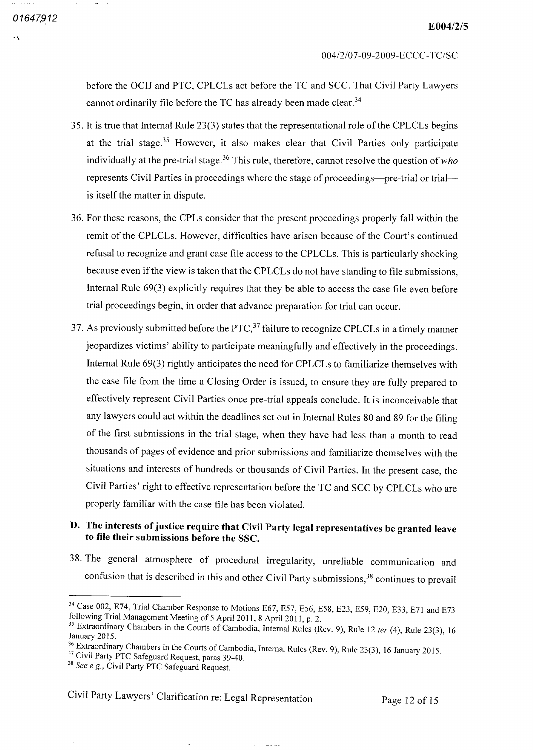before the OCIJ and PTC, CPLCLs act before the TC and SCC. That Civil Party Lawyers cannot ordinarily file before the TC has already been made clear.<sup>34</sup>

- 35. It is true that Internal Rule 23(3) states that the representational role of the CPLCLs begins at the trial stage.<sup>35</sup> However, it also makes clear that Civil Parties only participate individually at the pre-trial stage.<sup>36</sup> This rule, therefore, cannot resolve the question of who represents Civil Parties in proceedings where the stage of proceedings—pre trial or trial is itself the matter in dispute
- 36. For these reasons, the CPLs consider that the present proceedings properly fall within the remit of the CPLCLs. However, difficulties have arisen because of the Court's continued refusal to recognize and grant case file access to the CPLCLs This is particularly shocking because even if the view is taken that the CPLCLs do not have standing to file submissions Internal Rule  $69(3)$  explicitly requires that they be able to access the case file even before trial proceedings begin, in order that advance preparation for trial can occur.
- 37. As previously submitted before the  $\text{PTC}$ ,  $\frac{37}{7}$  failure to recognize CPLCLs in a timely manner jeopardizes victims' ability to participate meaningfully and effectively in the proceedings Internal Rule 69(3) rightly anticipates the need for CPLCLs to familiarize themselves with the case file from the time a Closing Order is issued, to ensure they are fully prepared to effectively represent Civil Parties once pre-trial appeals conclude. It is inconceivable that any lawyers could act within the deadlines set out in Internal Rules <sup>80</sup> and <sup>89</sup> for the filing of the first submissions in the trial stage, when they have had less than a month to read thousands of pages of evidence and prior submissions and familiarize themselves with the situations and interests of hundreds or thousands of Civil Parties. In the present case, the Civil Parties' right to effective representation before the TC and SCC by CPLCLs who are properly familiar with the case file has been violated

# D. The interests of justice require that Civil Party legal representatives be granted leave to file their submissions before the SSC

38. The general atmosphere of procedural irregularity, unreliable communication and confusion that is described in this and other Civil Party submissions,<sup>38</sup> continues to prevail

Civil Party Lawyers Clarification re Legal Representation Page <sup>12</sup> of <sup>15</sup>

<sup>&</sup>lt;sup>34</sup> Case 002, E74, Trial Chamber Response to Motions E67, E57, E56, E58, E23, E59, E20, E33, E71 and E73 following Trial Management Meeting of 5 April 2011, 8 April 2011, p. 2.

<sup>&</sup>lt;sup>35</sup> Extraordinary Chambers in the Courts of Cambodia, Internal Rules (Rev. 9), Rule 12 ter (4), Rule 23(3), 16 January 2015

Extraordinary Chambers in the Courts of Cambodia, Internal Rules (Rev. 9), Rule 23(3), 16 January 2015.

<sup>&</sup>lt;sup>37</sup> Civil Party PTC Safeguard Request, paras 39-40.<br><sup>38</sup> See e.g., Civil Party PTC Safeguard Request.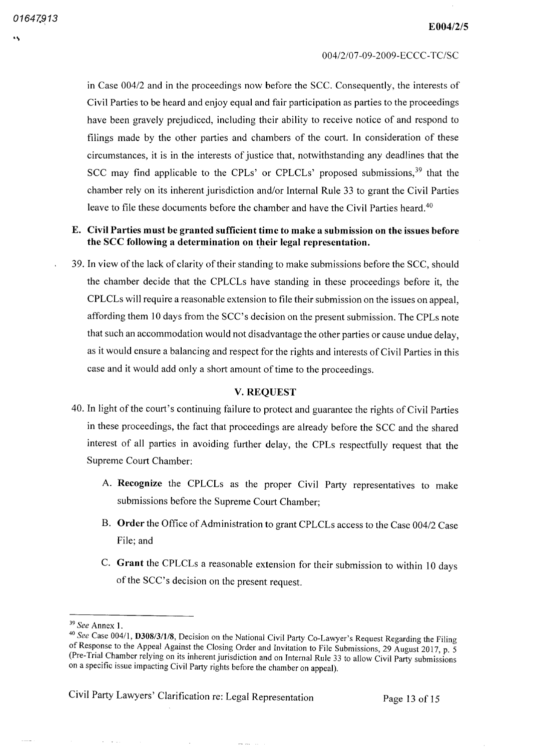in Case 004/2 and in the proceedings now before the SCC. Consequently, the interests of Civil Parties to be heard and enjoy equal and fair participation as parties to the proceedings have been gravely prejudiced, including their ability to receive notice of and respond to filings made by the other parties and chambers of the court. In consideration of these circumstances, it is in the interests of justice that, notwithstanding any deadlines that the SCC may find applicable to the CPLs' or CPLCLs' proposed submissions,<sup>39</sup> that the chamber rely on its inherent jurisdiction and/or Internal Rule 33 to grant the Civil Parties leave to file these documents before the chamber and have the Civil Parties heard 40

## E. Civil Parties must be granted sufficient time to make a submission on the issues before the SCC following a determination on their legal representation.

<sup>39</sup> In view of the lack of clarity of their standing to make submissions before the SCC should the chamber decide that the CPLCLs have standing in these proceedings before it, the CPLCLs will require a reasonable extension to file their submission on the issues on appeal, affording them <sup>10</sup> days from the SCC's decision on the present submission The CPLs note that such an accommodation would not disadvantage the other parties or cause undue delay as it would ensure a balancing and respect for the rights and interests of Civil Parties in this case and it would add only a short amount of time to the proceedings.

### **V. REQUEST**

- 40 In light of the court's continuing failure to protect and guarantee the rights of Civil Parties in these proceedings, the fact that proceedings are already before the SCC and the shared interest of all parties in avoiding further delay, the CPLs respectfully request that the Supreme Court Chamber
	- Recognize the CPLCLs as the proper Civil Party representatives to make submissions before the Supreme Court Chamber
	- B. Order the Office of Administration to grant CPLCLs access to the Case 004/2 Case File; and
	- C. Grant the CPLCLs a reasonable extension for their submission to within 10 days of the SCC's decision on the present request

 $\frac{1}{2}$ 

Civil Party Lawyers' Clarification re Legal Representation Page <sup>13</sup> of 15

<sup>&</sup>lt;sup>39</sup> See Annex

<sup>&</sup>lt;sup>40</sup> See Case 004/1, **D308/3/1/8**, Decision on the National Civil Party Co-Lawyer's Request Regarding the Filing of Response to the Appeal Against the Closing Order and Invitation to File Submissions, 29 August 2017, p. 5 Pre Trial Chamber relying on its inherent jurisdiction and on Internal Rule <sup>33</sup> to allow Civil Party submissions on specific issue impacting Civil Party rights before the chamber on appeal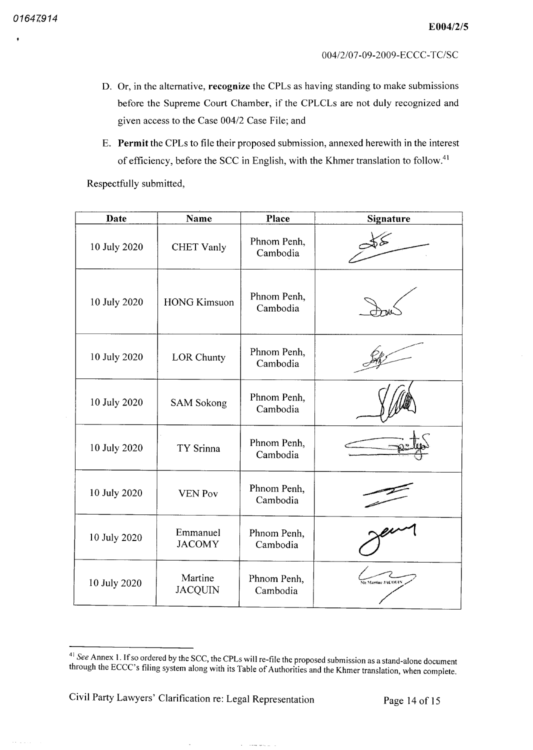$\epsilon$  is a second

- D. Or, in the alternative, recognize the CPLs as having standing to make submissions before the Supreme Court Chamber, if the CPLCLs are not duly recognized and given access to the Case 004/2 Case File; and
- E. Permit the CPLs to file their proposed submission, annexed herewith in the interest of efficiency, before the SCC in English, with the Khmer translation to follow.<sup>41</sup>

Respectfully submitted

| Date         | <b>Name</b>               | Place                   | <b>Signature</b>         |
|--------------|---------------------------|-------------------------|--------------------------|
| 10 July 2020 | <b>CHET Vanly</b>         | Phnom Penh,<br>Cambodia |                          |
| 10 July 2020 | <b>HONG Kimsuon</b>       | Phnom Penh,<br>Cambodia |                          |
| 10 July 2020 | <b>LOR Chunty</b>         | Phnom Penh,<br>Cambodia |                          |
| 10 July 2020 | <b>SAM Sokong</b>         | Phnom Penh,<br>Cambodia |                          |
| 10 July 2020 | TY Srinna                 | Phnom Penh,<br>Cambodia |                          |
| 10 July 2020 | <b>VEN Pov</b>            | Phnom Penh,<br>Cambodia |                          |
| 10 July 2020 | Emmanuel<br><b>JACOMY</b> | Phnom Penh,<br>Cambodia |                          |
| 10 July 2020 | Martine<br><b>JACQUIN</b> | Phnom Penh,<br>Cambodia | <b>Me Martine JACOUI</b> |

**Company of the Company** 

Civil Party Lawyers' Clarification re Legal Representation Page 14 of 15

 $41$  See Annex 1. If so ordered by the SCC, the CPLs will re-file the proposed submission as a stand-alone document through the ECCC's filing system along with its Table of Authorities and the Khmer translation, when complete.